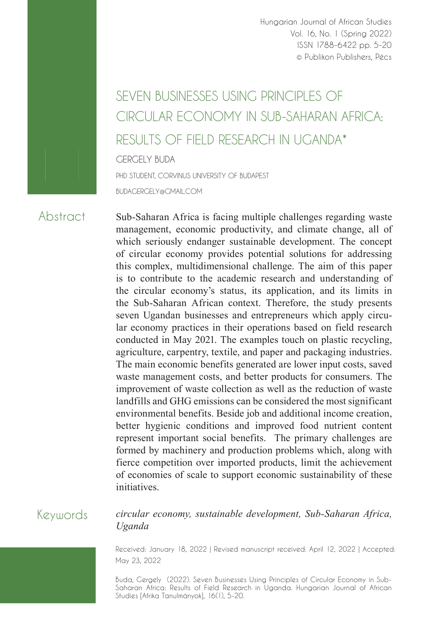Hungarian Journal of African Studies Vol. 16, No. 1 (Spring 2022) ISSN 1788-6422 pp. 5-20 © Publikon Publishers, Pécs

# SEVEN BUSINESSES USING PRINCIPLES OF CIRCUI AR ECONOMY IN SUB-SAHARAN AFRICA· RESULTS OF FIELD RESEARCH IN UGANDA\*

GERGELY BUDA

PHD STUDENT, CORVINUS UNIVERSITY OF BUDAPEST

BUDAGERGELY@GMAIL.COM

### Abstract

Sub-Saharan Africa is facing multiple challenges regarding waste management, economic productivity, and climate change, all of which seriously endanger sustainable development. The concept of circular economy provides potential solutions for addressing this complex, multidimensional challenge. The aim of this paper is to contribute to the academic research and understanding of the circular economy's status, its application, and its limits in the Sub-Saharan African context. Therefore, the study presents seven Ugandan businesses and entrepreneurs which apply circular economy practices in their operations based on field research conducted in May 2021. The examples touch on plastic recycling, agriculture, carpentry, textile, and paper and packaging industries. The main economic benefits generated are lower input costs, saved waste management costs, and better products for consumers. The improvement of waste collection as well as the reduction of waste landfills and GHG emissions can be considered the most significant environmental benefits. Beside job and additional income creation, better hygienic conditions and improved food nutrient content represent important social benefits. The primary challenges are formed by machinery and production problems which, along with fierce competition over imported products, limit the achievement of economies of scale to support economic sustainability of these initiatives.

## Keywords

*circular economy, sustainable development, Sub-Saharan Africa, Uganda*

Received: January 18, 2022 | Revised manuscript received: April 12, 2022 | Accepted: May 23, 2022

Buda, Gergely (2022). Seven Businesses Using Principles of Circular Economy in Sub-Saharan Africa: Results of Field Research in Uganda. Hungarian Journal of African Studies [Afrika Tanulmányok], 16(1), 5-20.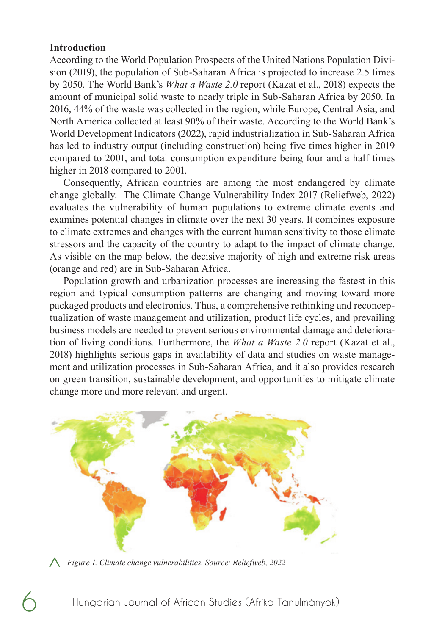#### **Introduction**

According to the World Population Prospects of the United Nations Population Division (2019), the population of Sub-Saharan Africa is projected to increase 2.5 times by 2050. The World Bank's *What a Waste 2.0* report (Kazat et al., 2018) expects the amount of municipal solid waste to nearly triple in Sub-Saharan Africa by 2050. In 2016, 44% of the waste was collected in the region, while Europe, Central Asia, and North America collected at least 90% of their waste. According to the World Bank's World Development Indicators (2022), rapid industrialization in Sub-Saharan Africa has led to industry output (including construction) being five times higher in 2019 compared to 2001, and total consumption expenditure being four and a half times higher in 2018 compared to 2001.

Consequently, African countries are among the most endangered by climate change globally. The Climate Change Vulnerability Index 2017 (Reliefweb, 2022) evaluates the vulnerability of human populations to extreme climate events and examines potential changes in climate over the next 30 years. It combines exposure to climate extremes and changes with the current human sensitivity to those climate stressors and the capacity of the country to adapt to the impact of climate change. As visible on the map below, the decisive majority of high and extreme risk areas (orange and red) are in Sub-Saharan Africa.

Population growth and urbanization processes are increasing the fastest in this region and typical consumption patterns are changing and moving toward more packaged products and electronics. Thus, a comprehensive rethinking and reconceptualization of waste management and utilization, product life cycles, and prevailing business models are needed to prevent serious environmental damage and deterioration of living conditions. Furthermore, the *What a Waste 2.0* report (Kazat et al., 2018) highlights serious gaps in availability of data and studies on waste management and utilization processes in Sub-Saharan Africa, and it also provides research on green transition, sustainable development, and opportunities to mitigate climate change more and more relevant and urgent.



*Figure 1. Climate change vulnerabilities, Source: Reliefweb, 2022* <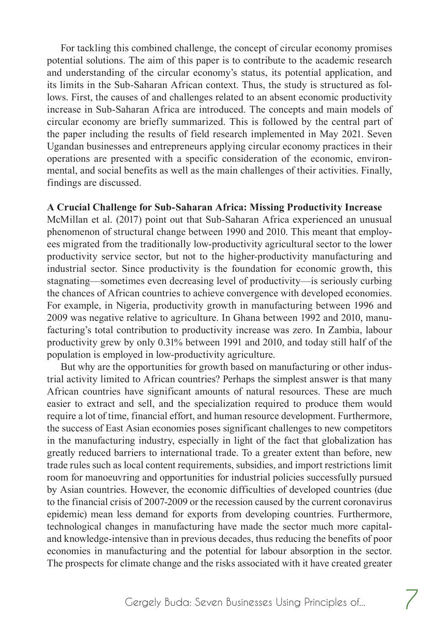For tackling this combined challenge, the concept of circular economy promises potential solutions. The aim of this paper is to contribute to the academic research and understanding of the circular economy's status, its potential application, and its limits in the Sub-Saharan African context. Thus, the study is structured as follows. First, the causes of and challenges related to an absent economic productivity increase in Sub-Saharan Africa are introduced. The concepts and main models of circular economy are briefly summarized. This is followed by the central part of the paper including the results of field research implemented in May 2021. Seven Ugandan businesses and entrepreneurs applying circular economy practices in their operations are presented with a specific consideration of the economic, environmental, and social benefits as well as the main challenges of their activities. Finally, findings are discussed.

#### **A Crucial Challenge for Sub-Saharan Africa: Missing Productivity Increase**

McMillan et al. (2017) point out that Sub-Saharan Africa experienced an unusual phenomenon of structural change between 1990 and 2010. This meant that employees migrated from the traditionally low-productivity agricultural sector to the lower productivity service sector, but not to the higher-productivity manufacturing and industrial sector. Since productivity is the foundation for economic growth, this stagnating—sometimes even decreasing level of productivity—is seriously curbing the chances of African countries to achieve convergence with developed economies. For example, in Nigeria, productivity growth in manufacturing between 1996 and 2009 was negative relative to agriculture. In Ghana between 1992 and 2010, manufacturing's total contribution to productivity increase was zero. In Zambia, labour productivity grew by only 0.31% between 1991 and 2010, and today still half of the population is employed in low-productivity agriculture.

But why are the opportunities for growth based on manufacturing or other industrial activity limited to African countries? Perhaps the simplest answer is that many African countries have significant amounts of natural resources. These are much easier to extract and sell, and the specialization required to produce them would require a lot of time, financial effort, and human resource development. Furthermore, the success of East Asian economies poses significant challenges to new competitors in the manufacturing industry, especially in light of the fact that globalization has greatly reduced barriers to international trade. To a greater extent than before, new trade rules such as local content requirements, subsidies, and import restrictions limit room for manoeuvring and opportunities for industrial policies successfully pursued by Asian countries. However, the economic difficulties of developed countries (due to the financial crisis of 2007-2009 or the recession caused by the current coronavirus epidemic) mean less demand for exports from developing countries. Furthermore, technological changes in manufacturing have made the sector much more capitaland knowledge-intensive than in previous decades, thus reducing the benefits of poor economies in manufacturing and the potential for labour absorption in the sector. The prospects for climate change and the risks associated with it have created greater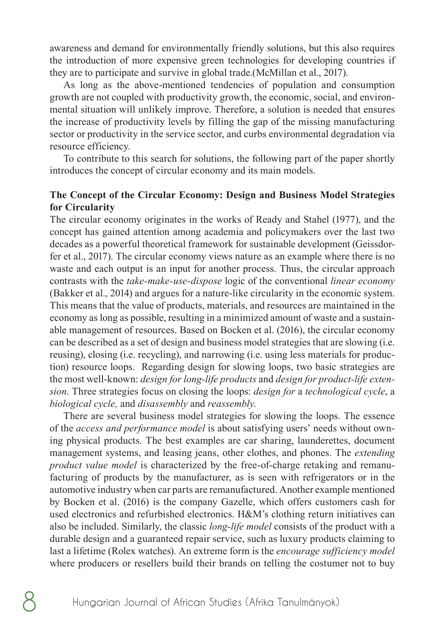awareness and demand for environmentally friendly solutions, but this also requires the introduction of more expensive green technologies for developing countries if they are to participate and survive in global trade.(McMillan et al., 2017).

As long as the above-mentioned tendencies of population and consumption growth are not coupled with productivity growth, the economic, social, and environmental situation will unlikely improve. Therefore, a solution is needed that ensures the increase of productivity levels by filling the gap of the missing manufacturing sector or productivity in the service sector, and curbs environmental degradation via resource efficiency.

To contribute to this search for solutions, the following part of the paper shortly introduces the concept of circular economy and its main models.

#### **The Concept of the Circular Economy: Design and Business Model Strategies for Circularity**

The circular economy originates in the works of Ready and Stahel (1977), and the concept has gained attention among academia and policymakers over the last two decades as a powerful theoretical framework for sustainable development (Geissdorfer et al., 2017). The circular economy views nature as an example where there is no waste and each output is an input for another process. Thus, the circular approach contrasts with the *take-make-use-dispose* logic of the conventional *linear economy* (Bakker et al., 2014) and argues for a nature-like circularity in the economic system. This means that the value of products, materials, and resources are maintained in the economy as long as possible, resulting in a minimized amount of waste and a sustainable management of resources. Based on Bocken et al. (2016), the circular economy can be described as a set of design and business model strategies that are slowing (i.e. reusing), closing (i.e. recycling), and narrowing (i.e. using less materials for production) resource loops. Regarding design for slowing loops, two basic strategies are the most well-known: *design for long-life products* and *design for product-life extension*. Three strategies focus on closing the loops: *design for* a *technological cycle*, a *biological cycle,* and *disassembly* and *reassembly*.

There are several business model strategies for slowing the loops. The essence of the *access and performance model* is about satisfying users' needs without owning physical products. The best examples are car sharing, launderettes, document management systems, and leasing jeans, other clothes, and phones. The *extending product value model* is characterized by the free-of-charge retaking and remanufacturing of products by the manufacturer, as is seen with refrigerators or in the automotive industry when car parts are remanufactured. Another example mentioned by Bocken et al. (2016) is the company Gazelle, which offers customers cash for used electronics and refurbished electronics. H&M's clothing return initiatives can also be included. Similarly, the classic *long-life model* consists of the product with a durable design and a guaranteed repair service, such as luxury products claiming to last a lifetime (Rolex watches). An extreme form is the *encourage sufficiency model* where producers or resellers build their brands on telling the costumer not to buy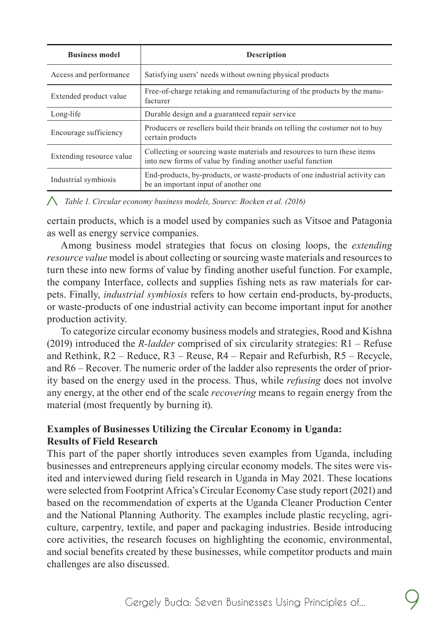| <b>Business model</b>    | <b>Description</b>                                                                                                                     |  |
|--------------------------|----------------------------------------------------------------------------------------------------------------------------------------|--|
| Access and performance   | Satisfying users' needs without owning physical products                                                                               |  |
| Extended product value   | Free-of-charge retaking and remanufacturing of the products by the manu-<br>facturer                                                   |  |
| Long-life                | Durable design and a guaranteed repair service                                                                                         |  |
| Encourage sufficiency    | Producers or resellers build their brands on telling the costumer not to buy<br>certain products                                       |  |
| Extending resource value | Collecting or sourcing waste materials and resources to turn these items<br>into new forms of value by finding another useful function |  |
| Industrial symbiosis     | End-products, by-products, or waste-products of one industrial activity can<br>be an important input of another one                    |  |

*Table 1. Circular economy business models, Source: Bocken et al. (2016)* <

certain products, which is a model used by companies such as Vitsoe and Patagonia as well as energy service companies.

Among business model strategies that focus on closing loops, the *extending resource value* model is about collecting or sourcing waste materials and resources to turn these into new forms of value by finding another useful function. For example, the company Interface, collects and supplies fishing nets as raw materials for carpets. Finally, *industrial symbiosis* refers to how certain end-products, by-products, or waste-products of one industrial activity can become important input for another production activity.

To categorize circular economy business models and strategies, Rood and Kishna (2019) introduced the *R-ladder* comprised of six circularity strategies: R1 – Refuse and Rethink, R2 – Reduce, R3 – Reuse, R4 – Repair and Refurbish, R5 – Recycle, and R6 – Recover. The numeric order of the ladder also represents the order of priority based on the energy used in the process. Thus, while *refusing* does not involve any energy, at the other end of the scale *recovering* means to regain energy from the material (most frequently by burning it).

#### **Examples of Businesses Utilizing the Circular Economy in Uganda: Results of Field Research**

This part of the paper shortly introduces seven examples from Uganda, including businesses and entrepreneurs applying circular economy models. The sites were visited and interviewed during field research in Uganda in May 2021. These locations were selected from Footprint Africa's Circular Economy Case study report (2021) and based on the recommendation of experts at the Uganda Cleaner Production Center and the National Planning Authority. The examples include plastic recycling, agriculture, carpentry, textile, and paper and packaging industries. Beside introducing core activities, the research focuses on highlighting the economic, environmental, and social benefits created by these businesses, while competitor products and main challenges are also discussed.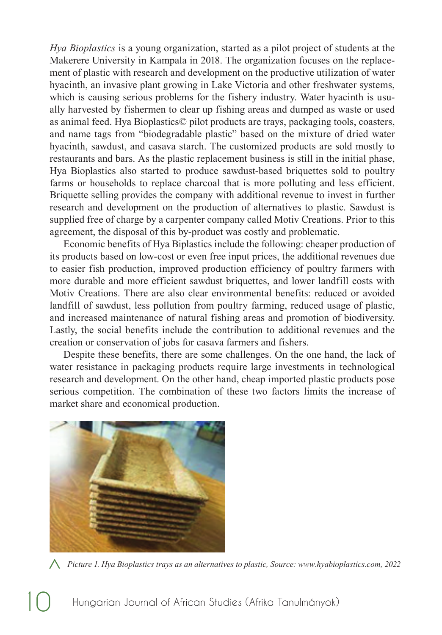*Hya Bioplastics* is a young organization, started as a pilot project of students at the Makerere University in Kampala in 2018. The organization focuses on the replacement of plastic with research and development on the productive utilization of water hyacinth, an invasive plant growing in Lake Victoria and other freshwater systems, which is causing serious problems for the fishery industry. Water hyacinth is usually harvested by fishermen to clear up fishing areas and dumped as waste or used as animal feed. Hya Bioplastics© pilot products are trays, packaging tools, coasters, and name tags from "biodegradable plastic" based on the mixture of dried water hyacinth, sawdust, and casava starch. The customized products are sold mostly to restaurants and bars. As the plastic replacement business is still in the initial phase, Hya Bioplastics also started to produce sawdust-based briquettes sold to poultry farms or households to replace charcoal that is more polluting and less efficient. Briquette selling provides the company with additional revenue to invest in further research and development on the production of alternatives to plastic. Sawdust is supplied free of charge by a carpenter company called Motiv Creations. Prior to this agreement, the disposal of this by-product was costly and problematic.

Economic benefits of Hya Biplastics include the following: cheaper production of its products based on low-cost or even free input prices, the additional revenues due to easier fish production, improved production efficiency of poultry farmers with more durable and more efficient sawdust briquettes, and lower landfill costs with Motiv Creations. There are also clear environmental benefits: reduced or avoided landfill of sawdust, less pollution from poultry farming, reduced usage of plastic, and increased maintenance of natural fishing areas and promotion of biodiversity. Lastly, the social benefits include the contribution to additional revenues and the creation or conservation of jobs for casava farmers and fishers.

Despite these benefits, there are some challenges. On the one hand, the lack of water resistance in packaging products require large investments in technological research and development. On the other hand, cheap imported plastic products pose serious competition. The combination of these two factors limits the increase of market share and economical production.



*Picture 1. Hya Bioplastics trays as an alternatives to plastic, Source: www.hyabioplastics.com, 2022* <

Hungarian Journal of African Studies (Afrika Tanulmányok)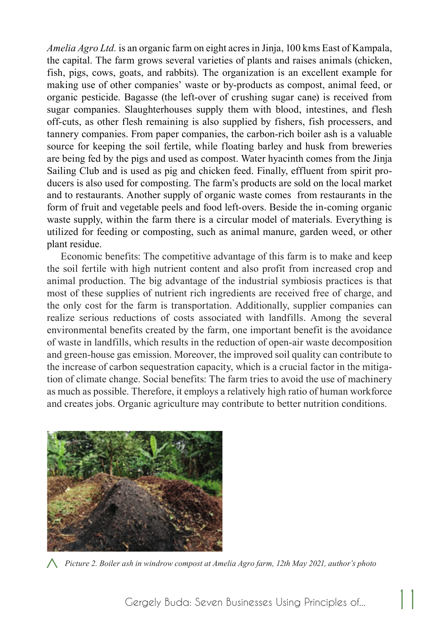*Amelia Agro Ltd.* is an organic farm on eight acres in Jinja, 100 kms East of Kampala, the capital. The farm grows several varieties of plants and raises animals (chicken, fish, pigs, cows, goats, and rabbits). The organization is an excellent example for making use of other companies' waste or by-products as compost, animal feed, or organic pesticide. Bagasse (the left-over of crushing sugar cane) is received from sugar companies. Slaughterhouses supply them with blood, intestines, and flesh off-cuts, as other flesh remaining is also supplied by fishers, fish processers, and tannery companies. From paper companies, the carbon-rich boiler ash is a valuable source for keeping the soil fertile, while floating barley and husk from breweries are being fed by the pigs and used as compost. Water hyacinth comes from the Jinja Sailing Club and is used as pig and chicken feed. Finally, effluent from spirit producers is also used for composting. The farm's products are sold on the local market and to restaurants. Another supply of organic waste comes from restaurants in the form of fruit and vegetable peels and food left-overs. Beside the in-coming organic waste supply, within the farm there is a circular model of materials. Everything is utilized for feeding or composting, such as animal manure, garden weed, or other plant residue.

Economic benefits: The competitive advantage of this farm is to make and keep the soil fertile with high nutrient content and also profit from increased crop and animal production. The big advantage of the industrial symbiosis practices is that most of these supplies of nutrient rich ingredients are received free of charge, and the only cost for the farm is transportation. Additionally, supplier companies can realize serious reductions of costs associated with landfills. Among the several environmental benefits created by the farm, one important benefit is the avoidance of waste in landfills, which results in the reduction of open-air waste decomposition and green-house gas emission. Moreover, the improved soil quality can contribute to the increase of carbon sequestration capacity, which is a crucial factor in the mitigation of climate change. Social benefits: The farm tries to avoid the use of machinery as much as possible. Therefore, it employs a relatively high ratio of human workforce and creates jobs. Organic agriculture may contribute to better nutrition conditions.



*Picture 2. Boiler ash in windrow compost at Amelia Agro farm, 12th May 2021, author's photo* <

Gergely Buda: Seven Businesses Using Principles of...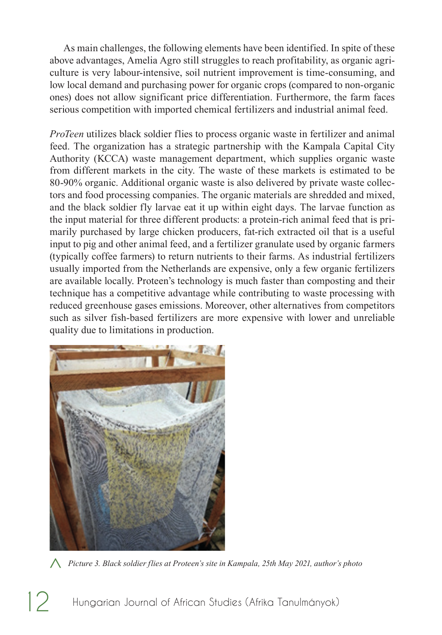As main challenges, the following elements have been identified. In spite of these above advantages, Amelia Agro still struggles to reach profitability, as organic agriculture is very labour-intensive, soil nutrient improvement is time-consuming, and low local demand and purchasing power for organic crops (compared to non-organic ones) does not allow significant price differentiation. Furthermore, the farm faces serious competition with imported chemical fertilizers and industrial animal feed.

*ProTeen* utilizes black soldier flies to process organic waste in fertilizer and animal feed. The organization has a strategic partnership with the Kampala Capital City Authority (KCCA) waste management department, which supplies organic waste from different markets in the city. The waste of these markets is estimated to be 80-90% organic. Additional organic waste is also delivered by private waste collectors and food processing companies. The organic materials are shredded and mixed, and the black soldier fly larvae eat it up within eight days. The larvae function as the input material for three different products: a protein-rich animal feed that is primarily purchased by large chicken producers, fat-rich extracted oil that is a useful input to pig and other animal feed, and a fertilizer granulate used by organic farmers (typically coffee farmers) to return nutrients to their farms. As industrial fertilizers usually imported from the Netherlands are expensive, only a few organic fertilizers are available locally. Proteen's technology is much faster than composting and their technique has a competitive advantage while contributing to waste processing with reduced greenhouse gases emissions. Moreover, other alternatives from competitors such as silver fish-based fertilizers are more expensive with lower and unreliable quality due to limitations in production.



*Picture 3. Black soldier flies at Proteen's site in Kampala, 25th May 2021, author's photo* <

12 Hungarian Journal of African Studies (Afrika Tanulmányok)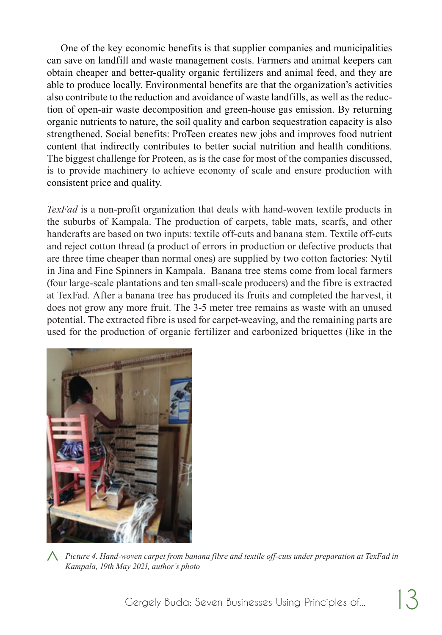One of the key economic benefits is that supplier companies and municipalities can save on landfill and waste management costs. Farmers and animal keepers can obtain cheaper and better-quality organic fertilizers and animal feed, and they are able to produce locally. Environmental benefits are that the organization's activities also contribute to the reduction and avoidance of waste landfills, as well as the reduction of open-air waste decomposition and green-house gas emission. By returning organic nutrients to nature, the soil quality and carbon sequestration capacity is also strengthened. Social benefits: ProTeen creates new jobs and improves food nutrient content that indirectly contributes to better social nutrition and health conditions. The biggest challenge for Proteen, as is the case for most of the companies discussed, is to provide machinery to achieve economy of scale and ensure production with consistent price and quality.

*TexFad* is a non-profit organization that deals with hand-woven textile products in the suburbs of Kampala. The production of carpets, table mats, scarfs, and other handcrafts are based on two inputs: textile off-cuts and banana stem. Textile off-cuts and reject cotton thread (a product of errors in production or defective products that are three time cheaper than normal ones) are supplied by two cotton factories: Nytil in Jina and Fine Spinners in Kampala. Banana tree stems come from local farmers (four large-scale plantations and ten small-scale producers) and the fibre is extracted at TexFad. After a banana tree has produced its fruits and completed the harvest, it does not grow any more fruit. The 3-5 meter tree remains as waste with an unused potential. The extracted fibre is used for carpet-weaving, and the remaining parts are used for the production of organic fertilizer and carbonized briquettes (like in the



*Picture 4. Hand-woven carpet from banana fibre and textile off-cuts under preparation at TexFad in*  <*Kampala, 19th May 2021, author's photo*

Gergely Buda: Seven Businesses Using Principles of...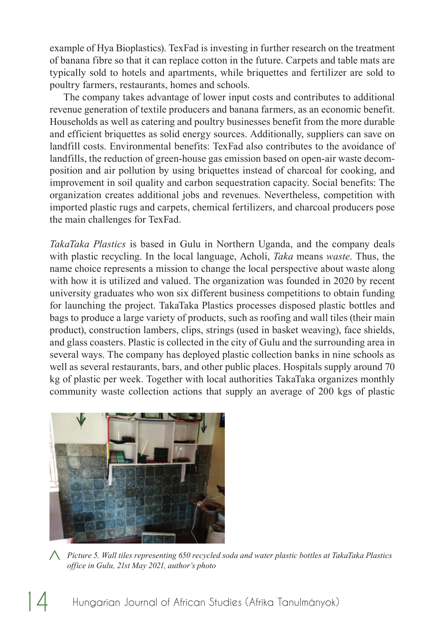example of Hya Bioplastics). TexFad is investing in further research on the treatment of banana fibre so that it can replace cotton in the future. Carpets and table mats are typically sold to hotels and apartments, while briquettes and fertilizer are sold to poultry farmers, restaurants, homes and schools.

The company takes advantage of lower input costs and contributes to additional revenue generation of textile producers and banana farmers, as an economic benefit. Households as well as catering and poultry businesses benefit from the more durable and efficient briquettes as solid energy sources. Additionally, suppliers can save on landfill costs. Environmental benefits: TexFad also contributes to the avoidance of landfills, the reduction of green-house gas emission based on open-air waste decomposition and air pollution by using briquettes instead of charcoal for cooking, and improvement in soil quality and carbon sequestration capacity. Social benefits: The organization creates additional jobs and revenues. Nevertheless, competition with imported plastic rugs and carpets, chemical fertilizers, and charcoal producers pose the main challenges for TexFad.

*TakaTaka Plastics* is based in Gulu in Northern Uganda, and the company deals with plastic recycling. In the local language, Acholi, *Taka* means *waste*. Thus, the name choice represents a mission to change the local perspective about waste along with how it is utilized and valued. The organization was founded in 2020 by recent university graduates who won six different business competitions to obtain funding for launching the project. TakaTaka Plastics processes disposed plastic bottles and bags to produce a large variety of products, such as roofing and wall tiles (their main product), construction lambers, clips, strings (used in basket weaving), face shields, and glass coasters. Plastic is collected in the city of Gulu and the surrounding area in several ways. The company has deployed plastic collection banks in nine schools as well as several restaurants, bars, and other public places. Hospitals supply around 70 kg of plastic per week. Together with local authorities TakaTaka organizes monthly community waste collection actions that supply an average of 200 kgs of plastic



*Picture 5. Wall tiles representing 650 recycled soda and water plastic bottles at TakaTaka Plastics*  <*office in Gulu, 21st May 2021, author's photo*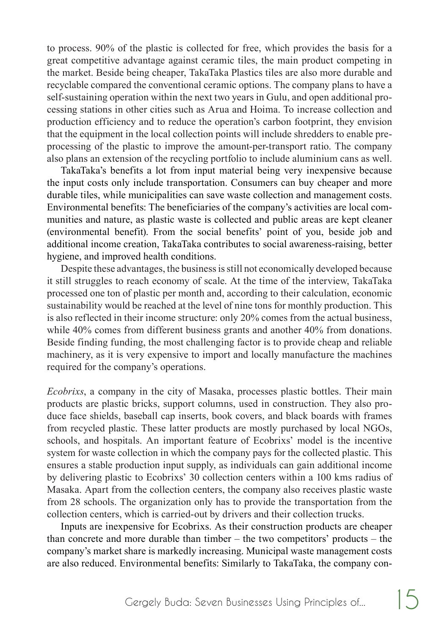to process. 90% of the plastic is collected for free, which provides the basis for a great competitive advantage against ceramic tiles, the main product competing in the market. Beside being cheaper, TakaTaka Plastics tiles are also more durable and recyclable compared the conventional ceramic options. The company plans to have a self-sustaining operation within the next two years in Gulu, and open additional processing stations in other cities such as Arua and Hoima. To increase collection and production efficiency and to reduce the operation's carbon footprint, they envision that the equipment in the local collection points will include shredders to enable preprocessing of the plastic to improve the amount-per-transport ratio. The company also plans an extension of the recycling portfolio to include aluminium cans as well.

TakaTaka's benefits a lot from input material being very inexpensive because the input costs only include transportation. Consumers can buy cheaper and more durable tiles, while municipalities can save waste collection and management costs. Environmental benefits: The beneficiaries of the company's activities are local communities and nature, as plastic waste is collected and public areas are kept cleaner (environmental benefit). From the social benefits' point of you, beside job and additional income creation, TakaTaka contributes to social awareness-raising, better hygiene, and improved health conditions.

Despite these advantages, the business is still not economically developed because it still struggles to reach economy of scale. At the time of the interview, TakaTaka processed one ton of plastic per month and, according to their calculation, economic sustainability would be reached at the level of nine tons for monthly production. This is also reflected in their income structure: only 20% comes from the actual business, while 40% comes from different business grants and another 40% from donations. Beside finding funding, the most challenging factor is to provide cheap and reliable machinery, as it is very expensive to import and locally manufacture the machines required for the company's operations.

*Ecobrixs*, a company in the city of Masaka, processes plastic bottles. Their main products are plastic bricks, support columns, used in construction. They also produce face shields, baseball cap inserts, book covers, and black boards with frames from recycled plastic. These latter products are mostly purchased by local NGOs, schools, and hospitals. An important feature of Ecobrixs' model is the incentive system for waste collection in which the company pays for the collected plastic. This ensures a stable production input supply, as individuals can gain additional income by delivering plastic to Ecobrixs' 30 collection centers within a 100 kms radius of Masaka. Apart from the collection centers, the company also receives plastic waste from 28 schools. The organization only has to provide the transportation from the collection centers, which is carried-out by drivers and their collection trucks.

Inputs are inexpensive for Ecobrixs. As their construction products are cheaper than concrete and more durable than timber – the two competitors' products – the company's market share is markedly increasing. Municipal waste management costs are also reduced. Environmental benefits: Similarly to TakaTaka, the company con-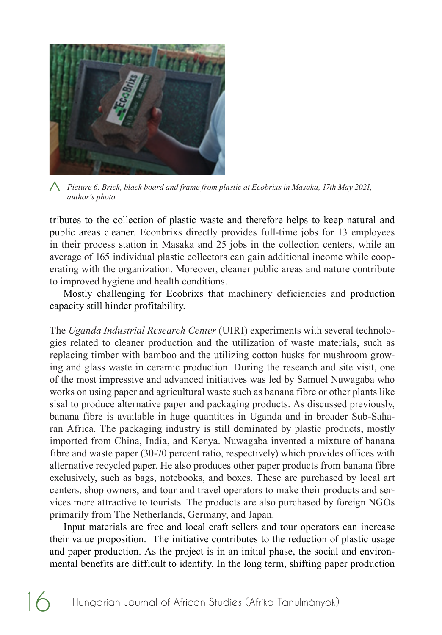

*Picture 6. Brick, black board and frame from plastic at Ecobrixs in Masaka, 17th May 2021,*  <*author's photo*

tributes to the collection of plastic waste and therefore helps to keep natural and public areas cleaner. Econbrixs directly provides full-time jobs for 13 employees in their process station in Masaka and 25 jobs in the collection centers, while an average of 165 individual plastic collectors can gain additional income while cooperating with the organization. Moreover, cleaner public areas and nature contribute to improved hygiene and health conditions.

Mostly challenging for Ecobrixs that machinery deficiencies and production capacity still hinder profitability.

The *Uganda Industrial Research Center* (UIRI) experiments with several technologies related to cleaner production and the utilization of waste materials, such as replacing timber with bamboo and the utilizing cotton husks for mushroom growing and glass waste in ceramic production. During the research and site visit, one of the most impressive and advanced initiatives was led by Samuel Nuwagaba who works on using paper and agricultural waste such as banana fibre or other plants like sisal to produce alternative paper and packaging products. As discussed previously, banana fibre is available in huge quantities in Uganda and in broader Sub-Saharan Africa. The packaging industry is still dominated by plastic products, mostly imported from China, India, and Kenya. Nuwagaba invented a mixture of banana fibre and waste paper (30-70 percent ratio, respectively) which provides offices with alternative recycled paper. He also produces other paper products from banana fibre exclusively, such as bags, notebooks, and boxes. These are purchased by local art centers, shop owners, and tour and travel operators to make their products and services more attractive to tourists. The products are also purchased by foreign NGOs primarily from The Netherlands, Germany, and Japan.

Input materials are free and local craft sellers and tour operators can increase their value proposition. The initiative contributes to the reduction of plastic usage and paper production. As the project is in an initial phase, the social and environmental benefits are difficult to identify. In the long term, shifting paper production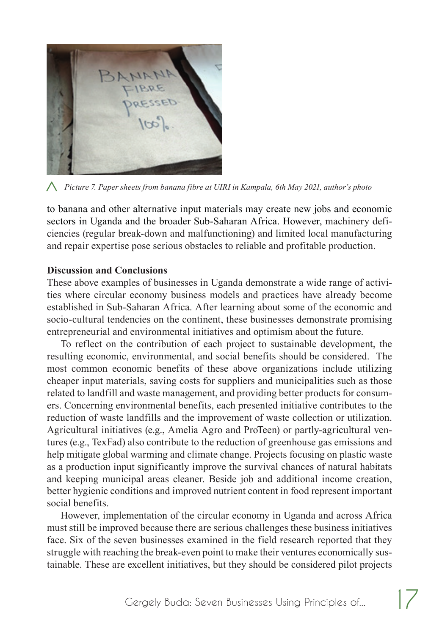

*Picture 7. Paper sheets from banana fibre at UIRI in Kampala, 6th May 2021, author's photo* <

to banana and other alternative input materials may create new jobs and economic sectors in Uganda and the broader Sub-Saharan Africa. However, machinery deficiencies (regular break-down and malfunctioning) and limited local manufacturing and repair expertise pose serious obstacles to reliable and profitable production.

#### **Discussion and Conclusions**

These above examples of businesses in Uganda demonstrate a wide range of activities where circular economy business models and practices have already become established in Sub-Saharan Africa. After learning about some of the economic and socio-cultural tendencies on the continent, these businesses demonstrate promising entrepreneurial and environmental initiatives and optimism about the future.

To reflect on the contribution of each project to sustainable development, the resulting economic, environmental, and social benefits should be considered. The most common economic benefits of these above organizations include utilizing cheaper input materials, saving costs for suppliers and municipalities such as those related to landfill and waste management, and providing better products for consumers. Concerning environmental benefits, each presented initiative contributes to the reduction of waste landfills and the improvement of waste collection or utilization. Agricultural initiatives (e.g., Amelia Agro and ProTeen) or partly-agricultural ventures (e.g., TexFad) also contribute to the reduction of greenhouse gas emissions and help mitigate global warming and climate change. Projects focusing on plastic waste as a production input significantly improve the survival chances of natural habitats and keeping municipal areas cleaner. Beside job and additional income creation, better hygienic conditions and improved nutrient content in food represent important social benefits.

However, implementation of the circular economy in Uganda and across Africa must still be improved because there are serious challenges these business initiatives face. Six of the seven businesses examined in the field research reported that they struggle with reaching the break-even point to make their ventures economically sustainable. These are excellent initiatives, but they should be considered pilot projects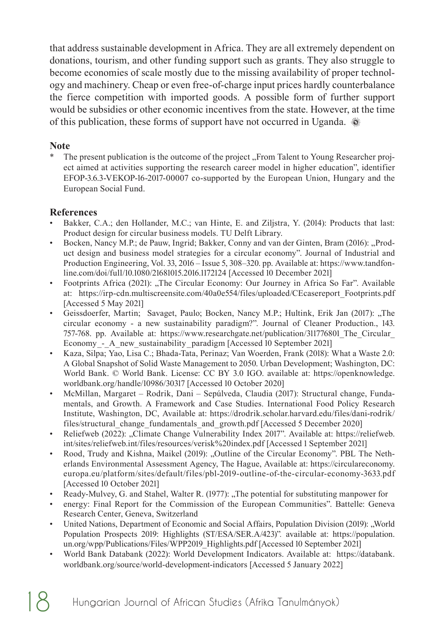that address sustainable development in Africa. They are all extremely dependent on donations, tourism, and other funding support such as grants. They also struggle to become economies of scale mostly due to the missing availability of proper technology and machinery. Cheap or even free-of-charge input prices hardly counterbalance the fierce competition with imported goods. A possible form of further support would be subsidies or other economic incentives from the state. However, at the time of this publication, these forms of support have not occurred in Uganda.

#### **Note**

The present publication is the outcome of the project "From Talent to Young Researcher project aimed at activities supporting the research career model in higher education", identifier EFOP-3.6.3-VEKOP-16-2017-00007 co-supported by the European Union, Hungary and the European Social Fund.

#### **References**

- Bakker, C.A.; den Hollander, M.C.; van Hinte, E. and Ziljstra, Y. (2014): Products that last: Product design for circular business models. TU Delft Library.
- Bocken, Nancy M.P.; de Pauw, Ingrid; Bakker, Conny and van der Ginten, Bram (2016): "Product design and business model strategies for a circular economy". Journal of Industrial and Production Engineering, Vol. 33, 2016 – Issue 5, 308–320. pp. Available at: https://www.tandfonline.com/doi/full/10.1080/21681015.2016.1172124 [Accessed 10 December 2021]
- Footprints Africa (2021): "The Circular Economy: Our Journey in Africa So Far". Available at: https://irp-cdn.multiscreensite.com/40a0e554/files/uploaded/CEcasereport\_Footprints.pdf [Accessed 5 May 2021]
- Geissdoerfer, Martin; Savaget, Paulo; Bocken, Nancy M.P.; Hultink, Erik Jan (2017): "The circular economy - a new sustainability paradigm?". Journal of Cleaner Production., 143. 757-768. pp. Available at: https://www.researchgate.net/publication/311776801\_The\_Circular\_ Economy - A new sustainability paradigm [Accessed 10 September 2021]
- Kaza, Silpa; Yao, Lisa C.; Bhada-Tata, Perinaz; Van Woerden, Frank (2018): What a Waste 2.0: A Global Snapshot of Solid Waste Management to 2050. Urban Development; Washington, DC: World Bank. © World Bank. License: CC BY 3.0 IGO. available at: https://openknowledge. worldbank.org/handle/10986/30317 [Accessed 10 October 2020]
- McMillan, Margaret Rodrik, Dani Sepúlveda, Claudia (2017): Structural change, Fundamentals, and Growth. A Framework and Case Studies. International Food Policy Research Institute, Washington, DC, Available at: https://drodrik.scholar.harvard.edu/files/dani-rodrik/ files/structural\_change\_fundamentals\_and\_growth.pdf [Accessed 5 December 2020]
- Reliefweb (2022): "Climate Change Vulnerability Index 2017". Available at: https://reliefweb. int/sites/reliefweb.int/files/resources/verisk%20index.pdf [Accessed 1 September 2021]
- Rood, Trudy and Kishna, Maikel (2019): "Outline of the Circular Economy". PBL The Netherlands Environmental Assessment Agency, The Hague, Available at: https://circulareconomy. europa.eu/platform/sites/default/files/pbl-2019-outline-of-the-circular-economy-3633.pdf [Accessed 10 October 2021]
- Ready-Mulvey, G. and Stahel, Walter R. (1977): "The potential for substituting manpower for
- energy: Final Report for the Commission of the European Communities". Battelle: Geneva Research Center, Geneva, Switzerland
- United Nations, Department of Economic and Social Affairs, Population Division (2019): "World Population Prospects 2019: Highlights (ST/ESA/SER.A/423)"*.* available at: https://population. un.org/wpp/Publications/Files/WPP2019\_Highlights.pdf [Accessed 10 September 2021]
- World Bank Databank (2022): World Development Indicators. Available at: https://databank. worldbank.org/source/world-development-indicators [Accessed 5 January 2022]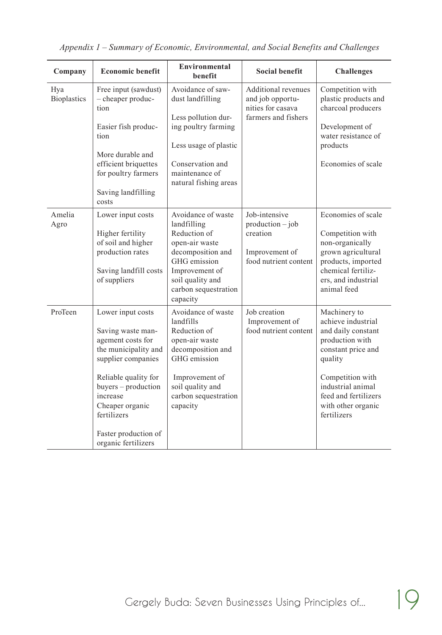| Company                   | <b>Economic benefit</b>                                                                                                                                                                                                                               | Environmental<br><b>benefit</b>                                                                                                                                                    | <b>Social benefit</b>                                                                      | <b>Challenges</b>                                                                                                                                                                                                  |
|---------------------------|-------------------------------------------------------------------------------------------------------------------------------------------------------------------------------------------------------------------------------------------------------|------------------------------------------------------------------------------------------------------------------------------------------------------------------------------------|--------------------------------------------------------------------------------------------|--------------------------------------------------------------------------------------------------------------------------------------------------------------------------------------------------------------------|
| Hya<br><b>Bioplastics</b> | Free input (sawdust)<br>- cheaper produc-<br>tion<br>Easier fish produc-<br>tion<br>More durable and<br>efficient briquettes<br>for poultry farmers<br>Saving landfilling<br>costs                                                                    | Avoidance of saw-<br>dust landfilling<br>Less pollution dur-<br>ing poultry farming<br>Less usage of plastic<br>Conservation and<br>maintenance of<br>natural fishing areas        | <b>Additional revenues</b><br>and job opportu-<br>nities for casava<br>farmers and fishers | Competition with<br>plastic products and<br>charcoal producers<br>Development of<br>water resistance of<br>products<br>Economies of scale                                                                          |
| Amelia<br>Agro            | Lower input costs<br>Higher fertility<br>of soil and higher<br>production rates<br>Saving landfill costs<br>of suppliers                                                                                                                              | Avoidance of waste<br>landfilling<br>Reduction of<br>open-air waste<br>decomposition and<br>GHG emission<br>Improvement of<br>soil quality and<br>carbon sequestration<br>capacity | Job-intensive<br>$production - job$<br>creation<br>Improvement of<br>food nutrient content | Economies of scale<br>Competition with<br>non-organically<br>grown agricultural<br>products, imported<br>chemical fertiliz-<br>ers, and industrial<br>animal feed                                                  |
| ProTeen                   | Lower input costs<br>Saving waste man-<br>agement costs for<br>the municipality and<br>supplier companies<br>Reliable quality for<br>buyers – production<br>increase<br>Cheaper organic<br>fertilizers<br>Faster production of<br>organic fertilizers | Avoidance of waste<br>landfills<br>Reduction of<br>open-air waste<br>decomposition and<br>GHG emission<br>Improvement of<br>soil quality and<br>carbon sequestration<br>capacity   | Job creation<br>Improvement of<br>food nutrient content                                    | Machinery to<br>achieve industrial<br>and daily constant<br>production with<br>constant price and<br>quality<br>Competition with<br>industrial animal<br>feed and fertilizers<br>with other organic<br>fertilizers |